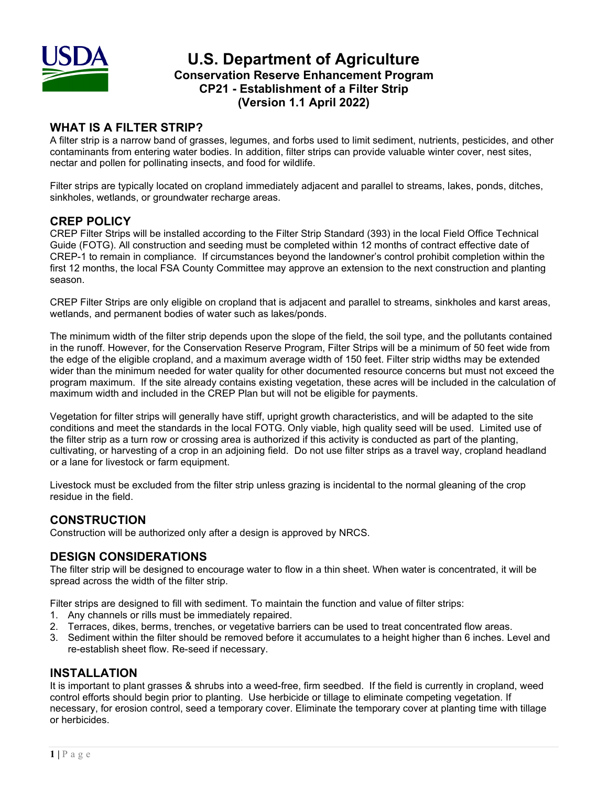

## **U.S. Department of Agriculture Conservation Reserve Enhancement Program CP21 - Establishment of a Filter Strip (Version 1.1 April 2022)**

## **WHAT IS A FILTER STRIP?**

A filter strip is a narrow band of grasses, legumes, and forbs used to limit sediment, nutrients, pesticides, and other contaminants from entering water bodies. In addition, filter strips can provide valuable winter cover, nest sites, nectar and pollen for pollinating insects, and food for wildlife.

Filter strips are typically located on cropland immediately adjacent and parallel to streams, lakes, ponds, ditches, sinkholes, wetlands, or groundwater recharge areas.

### **CREP POLICY**

CREP Filter Strips will be installed according to the Filter Strip Standard (393) in the local Field Office Technical Guide (FOTG). All construction and seeding must be completed within 12 months of contract effective date of CREP-1 to remain in compliance. If circumstances beyond the landowner's control prohibit completion within the first 12 months, the local FSA County Committee may approve an extension to the next construction and planting season.

CREP Filter Strips are only eligible on cropland that is adjacent and parallel to streams, sinkholes and karst areas, wetlands, and permanent bodies of water such as lakes/ponds.

The minimum width of the filter strip depends upon the slope of the field, the soil type, and the pollutants contained in the runoff. However, for the Conservation Reserve Program, Filter Strips will be a minimum of 50 feet wide from the edge of the eligible cropland, and a maximum average width of 150 feet. Filter strip widths may be extended wider than the minimum needed for water quality for other documented resource concerns but must not exceed the program maximum. If the site already contains existing vegetation, these acres will be included in the calculation of maximum width and included in the CREP Plan but will not be eligible for payments.

Vegetation for filter strips will generally have stiff, upright growth characteristics, and will be adapted to the site conditions and meet the standards in the local FOTG. Only viable, high quality seed will be used. Limited use of the filter strip as a turn row or crossing area is authorized if this activity is conducted as part of the planting, cultivating, or harvesting of a crop in an adjoining field. Do not use filter strips as a travel way, cropland headland or a lane for livestock or farm equipment.

Livestock must be excluded from the filter strip unless grazing is incidental to the normal gleaning of the crop residue in the field.

## **CONSTRUCTION**

Construction will be authorized only after a design is approved by NRCS.

## **DESIGN CONSIDERATIONS**

The filter strip will be designed to encourage water to flow in a thin sheet. When water is concentrated, it will be spread across the width of the filter strip.

Filter strips are designed to fill with sediment. To maintain the function and value of filter strips:

- 1. Any channels or rills must be immediately repaired.
- 2. Terraces, dikes, berms, trenches, or vegetative barriers can be used to treat concentrated flow areas.
- 3. Sediment within the filter should be removed before it accumulates to a height higher than 6 inches. Level and re-establish sheet flow. Re-seed if necessary.

#### **INSTALLATION**

It is important to plant grasses & shrubs into a weed-free, firm seedbed. If the field is currently in cropland, weed control efforts should begin prior to planting. Use herbicide or tillage to eliminate competing vegetation. If necessary, for erosion control, seed a temporary cover. Eliminate the temporary cover at planting time with tillage or herbicides.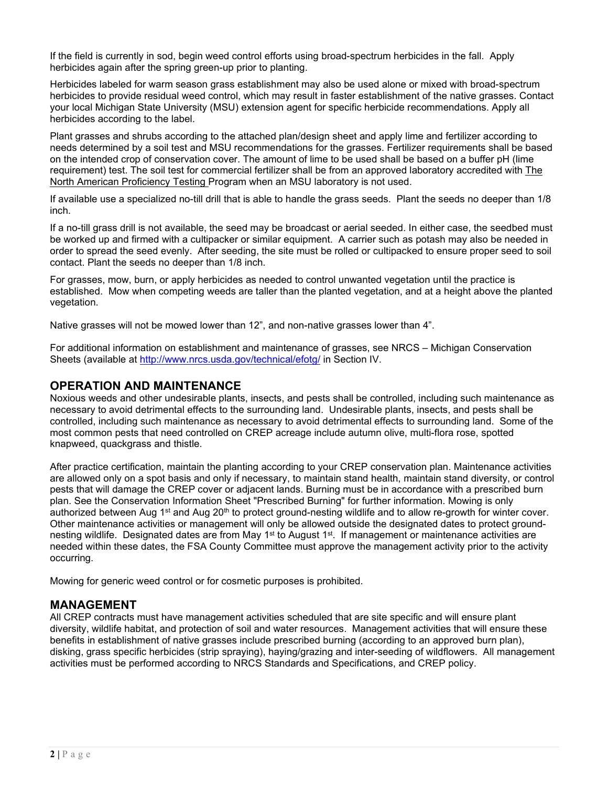If the field is currently in sod, begin weed control efforts using broad-spectrum herbicides in the fall. Apply herbicides again after the spring green-up prior to planting.

Herbicides labeled for warm season grass establishment may also be used alone or mixed with broad-spectrum herbicides to provide residual weed control, which may result in faster establishment of the native grasses. Contact your local Michigan State University (MSU) extension agent for specific herbicide recommendations. Apply all herbicides according to the label.

Plant grasses and shrubs according to the attached plan/design sheet and apply lime and fertilizer according to needs determined by a soil test and MSU recommendations for the grasses. Fertilizer requirements shall be based on the intended crop of conservation cover. The amount of lime to be used shall be based on a buffer pH (lime requirement) test. The soil test for commercial fertilizer shall be from an approved laboratory accredited with The North American Proficiency Testing Program when an MSU laboratory is not used.

If available use a specialized no-till drill that is able to handle the grass seeds. Plant the seeds no deeper than 1/8 inch.

If a no-till grass drill is not available, the seed may be broadcast or aerial seeded. In either case, the seedbed must be worked up and firmed with a cultipacker or similar equipment. A carrier such as potash may also be needed in order to spread the seed evenly. After seeding, the site must be rolled or cultipacked to ensure proper seed to soil contact. Plant the seeds no deeper than 1/8 inch.

For grasses, mow, burn, or apply herbicides as needed to control unwanted vegetation until the practice is established. Mow when competing weeds are taller than the planted vegetation, and at a height above the planted vegetation.

Native grasses will not be mowed lower than 12", and non-native grasses lower than 4".

For additional information on establishment and maintenance of grasses, see NRCS – Michigan Conservation Sheets (available at<http://www.nrcs.usda.gov/technical/efotg/> in Section IV.

#### **OPERATION AND MAINTENANCE**

Noxious weeds and other undesirable plants, insects, and pests shall be controlled, including such maintenance as necessary to avoid detrimental effects to the surrounding land. Undesirable plants, insects, and pests shall be controlled, including such maintenance as necessary to avoid detrimental effects to surrounding land. Some of the most common pests that need controlled on CREP acreage include autumn olive, multi-flora rose, spotted knapweed, quackgrass and thistle.

After practice certification, maintain the planting according to your CREP conservation plan. Maintenance activities are allowed only on a spot basis and only if necessary, to maintain stand health, maintain stand diversity, or control pests that will damage the CREP cover or adjacent lands. Burning must be in accordance with a prescribed burn plan. See the Conservation Information Sheet "Prescribed Burning" for further information. Mowing is only authorized between Aug  $1<sup>st</sup>$  and Aug 20<sup>th</sup> to protect ground-nesting wildlife and to allow re-growth for winter cover. Other maintenance activities or management will only be allowed outside the designated dates to protect groundnesting wildlife. Designated dates are from May 1<sup>st</sup> to August 1<sup>st</sup>. If management or maintenance activities are needed within these dates, the FSA County Committee must approve the management activity prior to the activity occurring.

Mowing for generic weed control or for cosmetic purposes is prohibited.

#### **MANAGEMENT**

All CREP contracts must have management activities scheduled that are site specific and will ensure plant diversity, wildlife habitat, and protection of soil and water resources. Management activities that will ensure these benefits in establishment of native grasses include prescribed burning (according to an approved burn plan), disking, grass specific herbicides (strip spraying), haying/grazing and inter-seeding of wildflowers. All management activities must be performed according to NRCS Standards and Specifications, and CREP policy.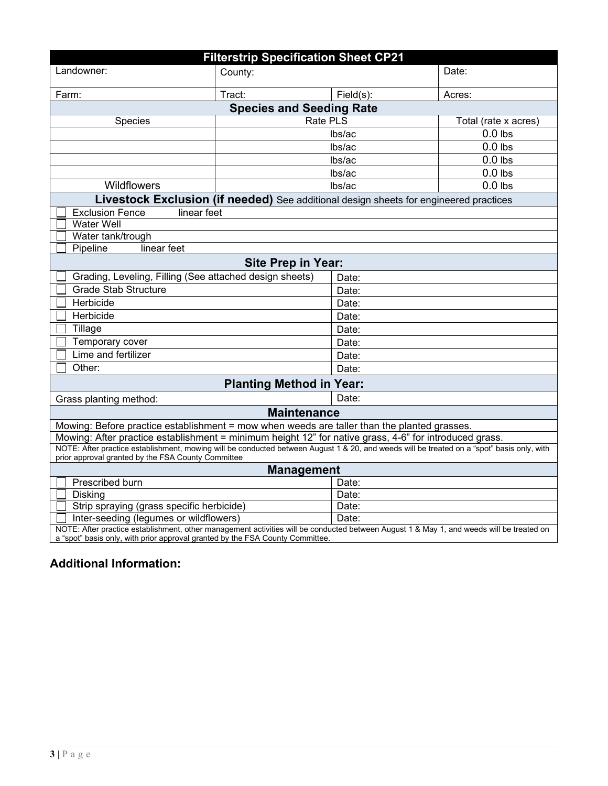| <b>Filterstrip Specification Sheet CP21</b>                                                                                                                                                                               |         |           |                      |
|---------------------------------------------------------------------------------------------------------------------------------------------------------------------------------------------------------------------------|---------|-----------|----------------------|
| Landowner:                                                                                                                                                                                                                | County: |           | Date:                |
| Farm:                                                                                                                                                                                                                     | Tract:  | Field(s): | Acres:               |
| <b>Species and Seeding Rate</b>                                                                                                                                                                                           |         |           |                      |
| Rate PLS<br>Species                                                                                                                                                                                                       |         |           | Total (rate x acres) |
|                                                                                                                                                                                                                           |         | lbs/ac    | $0.0$ lbs            |
|                                                                                                                                                                                                                           | lbs/ac  |           | $0.0$ lbs            |
|                                                                                                                                                                                                                           |         | lbs/ac    | $0.0$ lbs            |
|                                                                                                                                                                                                                           |         | lbs/ac    | $0.0$ lbs            |
| Wildflowers                                                                                                                                                                                                               |         | lbs/ac    | $0.0$ lbs            |
| Livestock Exclusion (if needed) See additional design sheets for engineered practices                                                                                                                                     |         |           |                      |
| <b>Exclusion Fence</b><br>linear feet                                                                                                                                                                                     |         |           |                      |
| <b>Water Well</b>                                                                                                                                                                                                         |         |           |                      |
| Water tank/trough                                                                                                                                                                                                         |         |           |                      |
| Pipeline<br>linear feet                                                                                                                                                                                                   |         |           |                      |
| <b>Site Prep in Year:</b>                                                                                                                                                                                                 |         |           |                      |
| Grading, Leveling, Filling (See attached design sheets)                                                                                                                                                                   |         | Date:     |                      |
| <b>Grade Stab Structure</b>                                                                                                                                                                                               |         | Date:     |                      |
| Herbicide                                                                                                                                                                                                                 |         | Date:     |                      |
| Herbicide                                                                                                                                                                                                                 |         | Date:     |                      |
| Tillage                                                                                                                                                                                                                   |         | Date:     |                      |
| Temporary cover                                                                                                                                                                                                           |         | Date:     |                      |
| Lime and fertilizer                                                                                                                                                                                                       |         | Date:     |                      |
| Other:                                                                                                                                                                                                                    |         | Date:     |                      |
| <b>Planting Method in Year:</b>                                                                                                                                                                                           |         |           |                      |
| Grass planting method:                                                                                                                                                                                                    |         | Date:     |                      |
| <b>Maintenance</b>                                                                                                                                                                                                        |         |           |                      |
| Mowing: Before practice establishment = mow when weeds are taller than the planted grasses.                                                                                                                               |         |           |                      |
| Mowing: After practice establishment = minimum height 12" for native grass, 4-6" for introduced grass.                                                                                                                    |         |           |                      |
| NOTE: After practice establishment, mowing will be conducted between August 1 & 20, and weeds will be treated on a "spot" basis only, with<br>prior approval granted by the FSA County Committee                          |         |           |                      |
| <b>Management</b>                                                                                                                                                                                                         |         |           |                      |
| Prescribed burn                                                                                                                                                                                                           | Date:   |           |                      |
| <b>Disking</b>                                                                                                                                                                                                            |         | Date:     |                      |
| Strip spraying (grass specific herbicide)                                                                                                                                                                                 |         | Date:     |                      |
| Inter-seeding (legumes or wildflowers)                                                                                                                                                                                    |         | Date:     |                      |
| NOTE: After practice establishment, other management activities will be conducted between August 1 & May 1, and weeds will be treated on<br>a "spot" basis only, with prior approval granted by the FSA County Committee. |         |           |                      |

# **Additional Information:**